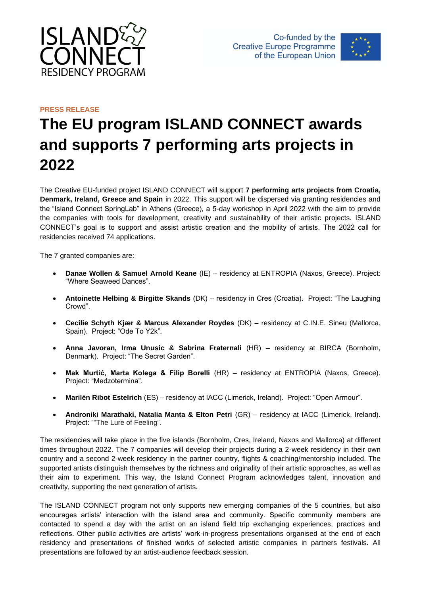



## **PRESS RELEASE The EU program ISLAND CONNECT awards and supports 7 performing arts projects in 2022**

The Creative EU-funded project ISLAND CONNECT will support **7 performing arts projects from Croatia, Denmark, Ireland, Greece and Spain** in 2022. This support will be dispersed via granting residencies and the "Island Connect SpringLab" in Athens (Greece), a 5-day workshop in April 2022 with the aim to provide the companies with tools for development, creativity and sustainability of their artistic projects. ISLAND CONNECT's goal is to support and assist artistic creation and the mobility of artists. The 2022 call for residencies received 74 applications.

The 7 granted companies are:

- **Danae Wollen & Samuel Arnold Keane** (IE) residency at ENTROPIA (Naxos, Greece). Project: "Where Seaweed Dances".
- **Antoinette Helbing & Birgitte Skands** (DK) residency in Cres (Croatia). Project: "The Laughing Crowd".
- **Cecilie Schyth Kjær & Marcus Alexander Roydes** (DK) residency at C.IN.E. Sineu (Mallorca, Spain). Project: "Ode To Y2k".
- **Anna Javoran, Irma Unusic & Sabrina Fraternali** (HR) residency at BIRCA (Bornholm, Denmark). Project: "The Secret Garden".
- **Mak Murtić, Marta Kolega & Filip Borelli** (HR) residency at ENTROPIA (Naxos, Greece). Project: "Medzotermina".
- **Marilén Ribot Estelrich** (ES) residency at IACC (Limerick, Ireland). Project: "Open Armour".
- **Androniki Marathaki, Natalia Manta & Elton Petri** (GR) residency at IACC (Limerick, Ireland). Project: ""The Lure of Feeling".

The residencies will take place in the five islands (Bornholm, Cres, Ireland, Naxos and Mallorca) at different times throughout 2022. The 7 companies will develop their projects during a 2-week residency in their own country and a second 2-week residency in the partner country, flights & coaching/mentorship included. The supported artists distinguish themselves by the richness and originality of their artistic approaches, as well as their aim to experiment. This way, the Island Connect Program acknowledges talent, innovation and creativity, supporting the next generation of artists.

The ISLAND CONNECT program not only supports new emerging companies of the 5 countries, but also encourages artists' interaction with the island area and community. Specific community members are contacted to spend a day with the artist on an island field trip exchanging experiences, practices and reflections. Other public activities are artists' work-in-progress presentations organised at the end of each residency and presentations of finished works of selected artistic companies in partners festivals. All presentations are followed by an artist-audience feedback session.